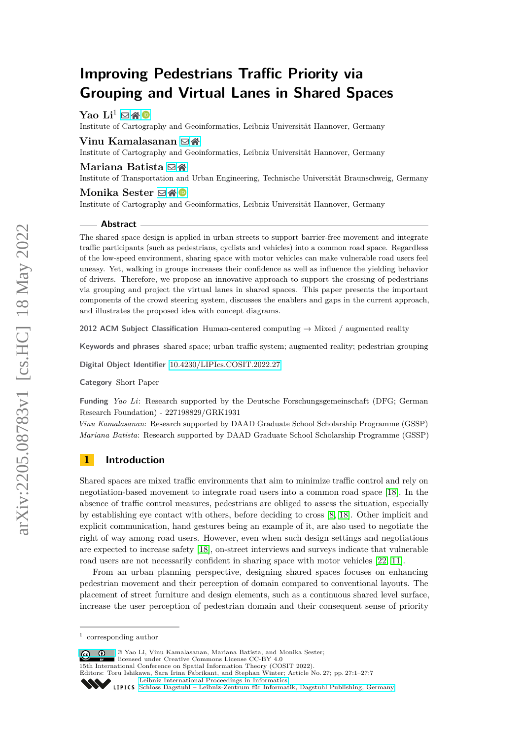# **Improving Pedestrians Traffic Priority via Grouping and Virtual Lanes in Shared Spaces**

 $\text{Yao } \text{Li}^1 \boxtimes \text{A}^0$ 

Institute of Cartography and Geoinformatics, Leibniz Universität Hannover, Germany

## **Vinu Kamalasanan** ⊠ <del>∦</del>

Institute of Cartography and Geoinformatics, Leibniz Universität Hannover, Germany

#### **Mariana Batista** ⊠全

Institute of Transportation and Urban Engineering, Technische Universität Braunschweig, Germany

#### Monika Sester **⊠** A <sup>D</sup>

Institute of Cartography and Geoinformatics, Leibniz Universität Hannover, Germany

#### **Abstract**

The shared space design is applied in urban streets to support barrier-free movement and integrate traffic participants (such as pedestrians, cyclists and vehicles) into a common road space. Regardless of the low-speed environment, sharing space with motor vehicles can make vulnerable road users feel uneasy. Yet, walking in groups increases their confidence as well as influence the yielding behavior of drivers. Therefore, we propose an innovative approach to support the crossing of pedestrians via grouping and project the virtual lanes in shared spaces. This paper presents the important components of the crowd steering system, discusses the enablers and gaps in the current approach, and illustrates the proposed idea with concept diagrams.

**2012 ACM Subject Classification** Human-centered computing → Mixed / augmented reality

**Keywords and phrases** shared space; urban traffic system; augmented reality; pedestrian grouping

**Digital Object Identifier** [10.4230/LIPIcs.COSIT.2022.27](https://doi.org/10.4230/LIPIcs.COSIT.2022.27)

**Category** Short Paper

**Funding** *Yao Li*: Research supported by the Deutsche Forschungsgemeinschaft (DFG; German Research Foundation) - 227198829/GRK1931

*Vinu Kamalasanan*: Research supported by DAAD Graduate School Scholarship Programme (GSSP) *Mariana Batista*: Research supported by DAAD Graduate School Scholarship Programme (GSSP)

# **1 Introduction**

Shared spaces are mixed traffic environments that aim to minimize traffic control and rely on negotiation-based movement to integrate road users into a common road space [\[18\]](#page-6-0). In the absence of traffic control measures, pedestrians are obliged to assess the situation, especially by establishing eye contact with others, before deciding to cross [\[8,](#page-5-0) [18\]](#page-6-0). Other implicit and explicit communication, hand gestures being an example of it, are also used to negotiate the right of way among road users. However, even when such design settings and negotiations are expected to increase safety [\[18\]](#page-6-0), on-street interviews and surveys indicate that vulnerable road users are not necessarily confident in sharing space with motor vehicles [\[22,](#page-6-1) [11\]](#page-6-2).

From an urban planning perspective, designing shared spaces focuses on enhancing pedestrian movement and their perception of domain compared to conventional layouts. The placement of street furniture and design elements, such as a continuous shared level surface, increase the user perception of pedestrian domain and their consequent sense of priority

© Yao Li, Vinu Kamalasanan, Mariana Batista, and Monika Sester;  $\boxed{6}$   $\boxed{0}$ 

licensed under Creative Commons License CC-BY 4.0

15th International Conference on Spatial Information Theory (COSIT 2022).

Editors: Toru Ishikawa, Sara Irina Fabrikant, and Stephan Winter; Article No. 27; pp. 27:1–27:7 [Leibniz International Proceedings in Informatics](https://www.dagstuhl.de/lipics/)

<sup>1</sup> corresponding author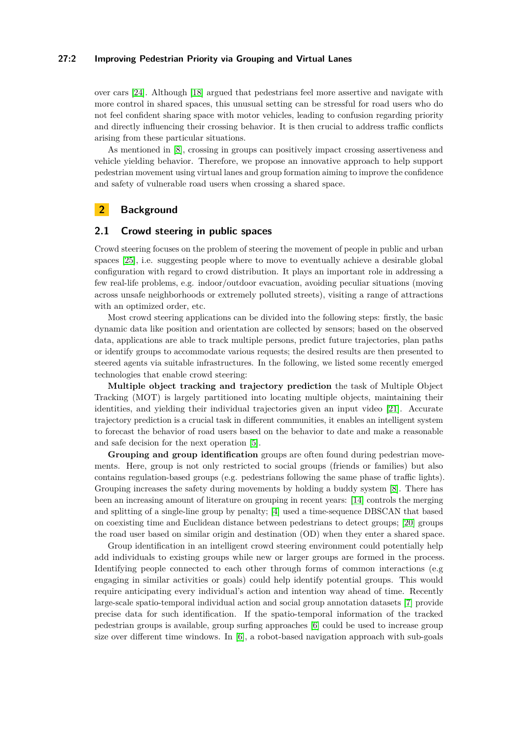#### **27:2 Improving Pedestrian Priority via Grouping and Virtual Lanes**

over cars [\[24\]](#page-6-3). Although [\[18\]](#page-6-0) argued that pedestrians feel more assertive and navigate with more control in shared spaces, this unusual setting can be stressful for road users who do not feel confident sharing space with motor vehicles, leading to confusion regarding priority and directly influencing their crossing behavior. It is then crucial to address traffic conflicts arising from these particular situations.

As mentioned in [\[8\]](#page-5-0), crossing in groups can positively impact crossing assertiveness and vehicle yielding behavior. Therefore, we propose an innovative approach to help support pedestrian movement using virtual lanes and group formation aiming to improve the confidence and safety of vulnerable road users when crossing a shared space.

# **2 Background**

## **2.1 Crowd steering in public spaces**

Crowd steering focuses on the problem of steering the movement of people in public and urban spaces [\[25\]](#page-6-4), i.e. suggesting people where to move to eventually achieve a desirable global configuration with regard to crowd distribution. It plays an important role in addressing a few real-life problems, e.g. indoor/outdoor evacuation, avoiding peculiar situations (moving across unsafe neighborhoods or extremely polluted streets), visiting a range of attractions with an optimized order, etc.

Most crowd steering applications can be divided into the following steps: firstly, the basic dynamic data like position and orientation are collected by sensors; based on the observed data, applications are able to track multiple persons, predict future trajectories, plan paths or identify groups to accommodate various requests; the desired results are then presented to steered agents via suitable infrastructures. In the following, we listed some recently emerged technologies that enable crowd steering:

**Multiple object tracking and trajectory prediction** the task of Multiple Object Tracking (MOT) is largely partitioned into locating multiple objects, maintaining their identities, and yielding their individual trajectories given an input video [\[21\]](#page-6-5). Accurate trajectory prediction is a crucial task in different communities, it enables an intelligent system to forecast the behavior of road users based on the behavior to date and make a reasonable and safe decision for the next operation [\[5\]](#page-5-1).

**Grouping and group identification** groups are often found during pedestrian movements. Here, group is not only restricted to social groups (friends or families) but also contains regulation-based groups (e.g. pedestrians following the same phase of traffic lights). Grouping increases the safety during movements by holding a buddy system [\[8\]](#page-5-0). There has been an increasing amount of literature on grouping in recent years: [\[14\]](#page-6-6) controls the merging and splitting of a single-line group by penalty; [\[4\]](#page-5-2) used a time-sequence DBSCAN that based on coexisting time and Euclidean distance between pedestrians to detect groups; [\[20\]](#page-6-7) groups the road user based on similar origin and destination (OD) when they enter a shared space.

Group identification in an intelligent crowd steering environment could potentially help add individuals to existing groups while new or larger groups are formed in the process. Identifying people connected to each other through forms of common interactions (e.g engaging in similar activities or goals) could help identify potential groups. This would require anticipating every individual's action and intention way ahead of time. Recently large-scale spatio-temporal individual action and social group annotation datasets [\[7\]](#page-5-3) provide precise data for such identification. If the spatio-temporal information of the tracked pedestrian groups is available, group surfing approaches [\[6\]](#page-5-4) could be used to increase group size over different time windows. In [\[6\]](#page-5-4), a robot-based navigation approach with sub-goals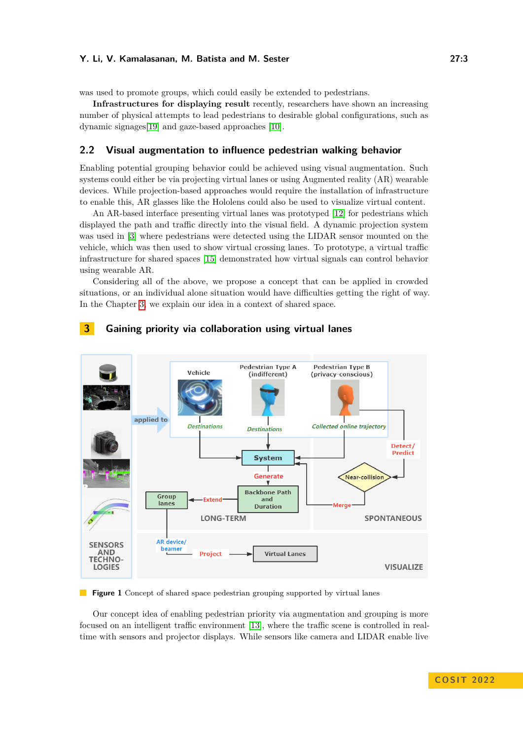#### **Y. Li, V. Kamalasanan, M. Batista and M. Sester 27:3**

was used to promote groups, which could easily be extended to pedestrians.

**Infrastructures for displaying result** recently, researchers have shown an increasing number of physical attempts to lead pedestrians to desirable global configurations, such as dynamic signages[\[19\]](#page-6-8) and gaze-based approaches [\[10\]](#page-5-5).

## **2.2 Visual augmentation to influence pedestrian walking behavior**

Enabling potential grouping behavior could be achieved using visual augmentation. Such systems could either be via projecting virtual lanes or using Augmented reality (AR) wearable devices. While projection-based approaches would require the installation of infrastructure to enable this, AR glasses like the Hololens could also be used to visualize virtual content.

An AR-based interface presenting virtual lanes was prototyped [\[12\]](#page-6-9) for pedestrians which displayed the path and traffic directly into the visual field. A dynamic projection system was used in [\[3\]](#page-5-6) where pedestrians were detected using the LIDAR sensor mounted on the vehicle, which was then used to show virtual crossing lanes. To prototype, a virtual traffic infrastructure for shared spaces [\[15\]](#page-6-10) demonstrated how virtual signals can control behavior using wearable AR.

Considering all of the above, we propose a concept that can be applied in crowded situations, or an individual alone situation would have difficulties getting the right of way. In the Chapter [3,](#page-2-0) we explain our idea in a context of shared space.

<span id="page-2-1"></span>

## <span id="page-2-0"></span>**3 Gaining priority via collaboration using virtual lanes**

**Figure 1** Concept of shared space pedestrian grouping supported by virtual lanes

Our concept idea of enabling pedestrian priority via augmentation and grouping is more focused on an intelligent traffic environment [\[13\]](#page-6-11), where the traffic scene is controlled in realtime with sensors and projector displays. While sensors like camera and LIDAR enable live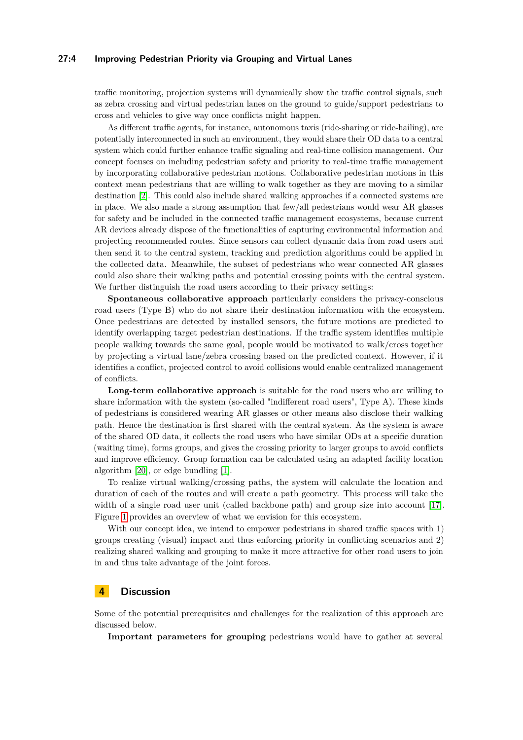#### **27:4 Improving Pedestrian Priority via Grouping and Virtual Lanes**

traffic monitoring, projection systems will dynamically show the traffic control signals, such as zebra crossing and virtual pedestrian lanes on the ground to guide/support pedestrians to cross and vehicles to give way once conflicts might happen.

As different traffic agents, for instance, autonomous taxis (ride-sharing or ride-hailing), are potentially interconnected in such an environment, they would share their OD data to a central system which could further enhance traffic signaling and real-time collision management. Our concept focuses on including pedestrian safety and priority to real-time traffic management by incorporating collaborative pedestrian motions. Collaborative pedestrian motions in this context mean pedestrians that are willing to walk together as they are moving to a similar destination [\[2\]](#page-5-7). This could also include shared walking approaches if a connected systems are in place. We also made a strong assumption that few/all pedestrians would wear AR glasses for safety and be included in the connected traffic management ecosystems, because current AR devices already dispose of the functionalities of capturing environmental information and projecting recommended routes. Since sensors can collect dynamic data from road users and then send it to the central system, tracking and prediction algorithms could be applied in the collected data. Meanwhile, the subset of pedestrians who wear connected AR glasses could also share their walking paths and potential crossing points with the central system. We further distinguish the road users according to their privacy settings:

**Spontaneous collaborative approach** particularly considers the privacy-conscious road users (Type B) who do not share their destination information with the ecosystem. Once pedestrians are detected by installed sensors, the future motions are predicted to identify overlapping target pedestrian destinations. If the traffic system identifies multiple people walking towards the same goal, people would be motivated to walk/cross together by projecting a virtual lane/zebra crossing based on the predicted context. However, if it identifies a conflict, projected control to avoid collisions would enable centralized management of conflicts.

**Long-term collaborative approach** is suitable for the road users who are willing to share information with the system (so-called "indifferent road users", Type A). These kinds of pedestrians is considered wearing AR glasses or other means also disclose their walking path. Hence the destination is first shared with the central system. As the system is aware of the shared OD data, it collects the road users who have similar ODs at a specific duration (waiting time), forms groups, and gives the crossing priority to larger groups to avoid conflicts and improve efficiency. Group formation can be calculated using an adapted facility location algorithm [\[20\]](#page-6-7), or edge bundling [\[1\]](#page-5-8).

To realize virtual walking/crossing paths, the system will calculate the location and duration of each of the routes and will create a path geometry. This process will take the width of a single road user unit (called backbone path) and group size into account [\[17\]](#page-6-12). Figure [1](#page-2-1) provides an overview of what we envision for this ecosystem.

With our concept idea, we intend to empower pedestrians in shared traffic spaces with 1) groups creating (visual) impact and thus enforcing priority in conflicting scenarios and 2) realizing shared walking and grouping to make it more attractive for other road users to join in and thus take advantage of the joint forces.

## **4 Discussion**

Some of the potential prerequisites and challenges for the realization of this approach are discussed below.

**Important parameters for grouping** pedestrians would have to gather at several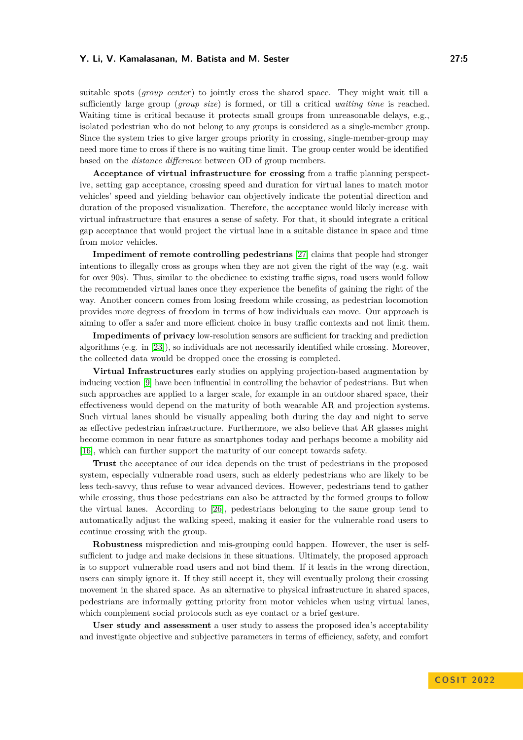#### **Y. Li, V. Kamalasanan, M. Batista and M. Sester 27:5**

suitable spots (*group center*) to jointly cross the shared space. They might wait till a sufficiently large group (*group size*) is formed, or till a critical *waiting time* is reached. Waiting time is critical because it protects small groups from unreasonable delays, e.g., isolated pedestrian who do not belong to any groups is considered as a single-member group. Since the system tries to give larger groups priority in crossing, single-member-group may need more time to cross if there is no waiting time limit. The group center would be identified based on the *distance difference* between OD of group members.

**Acceptance of virtual infrastructure for crossing** from a traffic planning perspective, setting gap acceptance, crossing speed and duration for virtual lanes to match motor vehicles' speed and yielding behavior can objectively indicate the potential direction and duration of the proposed visualization. Therefore, the acceptance would likely increase with virtual infrastructure that ensures a sense of safety. For that, it should integrate a critical gap acceptance that would project the virtual lane in a suitable distance in space and time from motor vehicles.

**Impediment of remote controlling pedestrians** [\[27\]](#page-6-13) claims that people had stronger intentions to illegally cross as groups when they are not given the right of the way (e.g. wait for over 90s). Thus, similar to the obedience to existing traffic signs, road users would follow the recommended virtual lanes once they experience the benefits of gaining the right of the way. Another concern comes from losing freedom while crossing, as pedestrian locomotion provides more degrees of freedom in terms of how individuals can move. Our approach is aiming to offer a safer and more efficient choice in busy traffic contexts and not limit them.

**Impediments of privacy** low-resolution sensors are sufficient for tracking and prediction algorithms (e.g. in [\[23\]](#page-6-14)), so individuals are not necessarily identified while crossing. Moreover, the collected data would be dropped once the crossing is completed.

**Virtual Infrastructures** early studies on applying projection-based augmentation by inducing vection [\[9\]](#page-5-9) have been influential in controlling the behavior of pedestrians. But when such approaches are applied to a larger scale, for example in an outdoor shared space, their effectiveness would depend on the maturity of both wearable AR and projection systems. Such virtual lanes should be visually appealing both during the day and night to serve as effective pedestrian infrastructure. Furthermore, we also believe that AR glasses might become common in near future as smartphones today and perhaps become a mobility aid [\[16\]](#page-6-15), which can further support the maturity of our concept towards safety.

**Trust** the acceptance of our idea depends on the trust of pedestrians in the proposed system, especially vulnerable road users, such as elderly pedestrians who are likely to be less tech-savvy, thus refuse to wear advanced devices. However, pedestrians tend to gather while crossing, thus those pedestrians can also be attracted by the formed groups to follow the virtual lanes. According to [\[26\]](#page-6-16), pedestrians belonging to the same group tend to automatically adjust the walking speed, making it easier for the vulnerable road users to continue crossing with the group.

**Robustness** misprediction and mis-grouping could happen. However, the user is selfsufficient to judge and make decisions in these situations. Ultimately, the proposed approach is to support vulnerable road users and not bind them. If it leads in the wrong direction, users can simply ignore it. If they still accept it, they will eventually prolong their crossing movement in the shared space. As an alternative to physical infrastructure in shared spaces, pedestrians are informally getting priority from motor vehicles when using virtual lanes, which complement social protocols such as eye contact or a brief gesture.

**User study and assessment** a user study to assess the proposed idea's acceptability and investigate objective and subjective parameters in terms of efficiency, safety, and comfort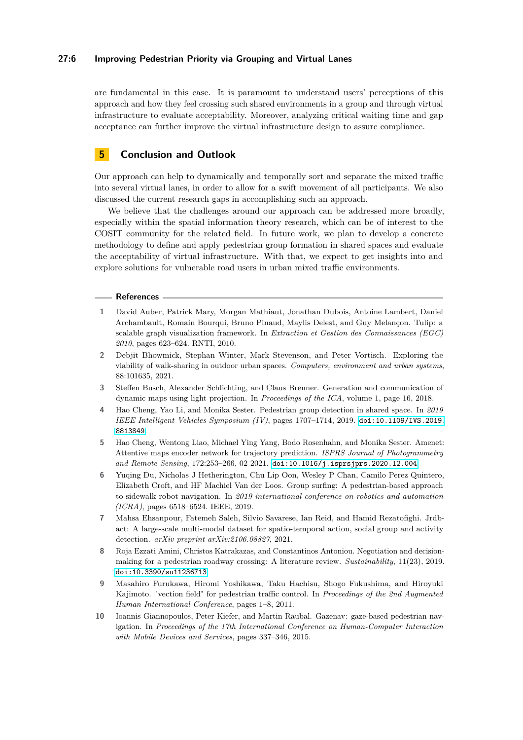#### **27:6 Improving Pedestrian Priority via Grouping and Virtual Lanes**

are fundamental in this case. It is paramount to understand users' perceptions of this approach and how they feel crossing such shared environments in a group and through virtual infrastructure to evaluate acceptability. Moreover, analyzing critical waiting time and gap acceptance can further improve the virtual infrastructure design to assure compliance.

# **5 Conclusion and Outlook**

Our approach can help to dynamically and temporally sort and separate the mixed traffic into several virtual lanes, in order to allow for a swift movement of all participants. We also discussed the current research gaps in accomplishing such an approach.

We believe that the challenges around our approach can be addressed more broadly, especially within the spatial information theory research, which can be of interest to the COSIT community for the related field. In future work, we plan to develop a concrete methodology to define and apply pedestrian group formation in shared spaces and evaluate the acceptability of virtual infrastructure. With that, we expect to get insights into and explore solutions for vulnerable road users in urban mixed traffic environments.

#### **References**

- <span id="page-5-8"></span>**1** David Auber, Patrick Mary, Morgan Mathiaut, Jonathan Dubois, Antoine Lambert, Daniel Archambault, Romain Bourqui, Bruno Pinaud, Maylis Delest, and Guy Melançon. Tulip: a scalable graph visualization framework. In *Extraction et Gestion des Connaissances (EGC) 2010*, pages 623–624. RNTI, 2010.
- <span id="page-5-7"></span>**2** Debjit Bhowmick, Stephan Winter, Mark Stevenson, and Peter Vortisch. Exploring the viability of walk-sharing in outdoor urban spaces. *Computers, environment and urban systems*, 88:101635, 2021.
- <span id="page-5-6"></span>**3** Steffen Busch, Alexander Schlichting, and Claus Brenner. Generation and communication of dynamic maps using light projection. In *Proceedings of the ICA*, volume 1, page 16, 2018.
- <span id="page-5-2"></span>**4** Hao Cheng, Yao Li, and Monika Sester. Pedestrian group detection in shared space. In *2019 IEEE Intelligent Vehicles Symposium (IV)*, pages 1707–1714, 2019. [doi:10.1109/IVS.2019.](https://doi.org/10.1109/IVS.2019.8813849) [8813849](https://doi.org/10.1109/IVS.2019.8813849).
- <span id="page-5-1"></span>**5** Hao Cheng, Wentong Liao, Michael Ying Yang, Bodo Rosenhahn, and Monika Sester. Amenet: Attentive maps encoder network for trajectory prediction. *ISPRS Journal of Photogrammetry and Remote Sensing*, 172:253–266, 02 2021. [doi:10.1016/j.isprsjprs.2020.12.004](https://doi.org/10.1016/j.isprsjprs.2020.12.004).
- <span id="page-5-4"></span>**6** Yuqing Du, Nicholas J Hetherington, Chu Lip Oon, Wesley P Chan, Camilo Perez Quintero, Elizabeth Croft, and HF Machiel Van der Loos. Group surfing: A pedestrian-based approach to sidewalk robot navigation. In *2019 international conference on robotics and automation (ICRA)*, pages 6518–6524. IEEE, 2019.
- <span id="page-5-3"></span>**7** Mahsa Ehsanpour, Fatemeh Saleh, Silvio Savarese, Ian Reid, and Hamid Rezatofighi. Jrdbact: A large-scale multi-modal dataset for spatio-temporal action, social group and activity detection. *arXiv preprint arXiv:2106.08827*, 2021.
- <span id="page-5-0"></span>**8** Roja Ezzati Amini, Christos Katrakazas, and Constantinos Antoniou. Negotiation and decisionmaking for a pedestrian roadway crossing: A literature review. *Sustainability*, 11(23), 2019. [doi:10.3390/su11236713](https://doi.org/10.3390/su11236713).
- <span id="page-5-9"></span>**9** Masahiro Furukawa, Hiromi Yoshikawa, Taku Hachisu, Shogo Fukushima, and Hiroyuki Kajimoto. "vection field" for pedestrian traffic control. In *Proceedings of the 2nd Augmented Human International Conference*, pages 1–8, 2011.
- <span id="page-5-5"></span>**10** Ioannis Giannopoulos, Peter Kiefer, and Martin Raubal. Gazenav: gaze-based pedestrian navigation. In *Proceedings of the 17th International Conference on Human-Computer Interaction with Mobile Devices and Services*, pages 337–346, 2015.